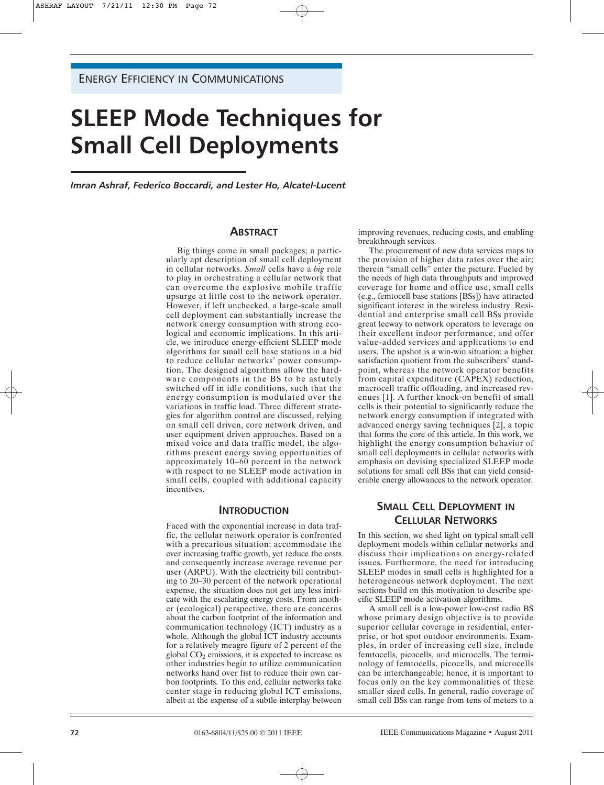# **SLEEP Mode Techniques for Small Cell Deployments**

*Imran Ashraf, Federico Boccardi, and Lester Ho, Alcatel-Lucent*

### **ABSTRACT**

Big things come in small packages; a particularly apt description of small cell deployment in cellular networks. *Small* cells have a *big* role to play in orchestrating a cellular network that can overcome the explosive mobile traffic upsurge at little cost to the network operator. However, if left unchecked, a large-scale small cell deployment can substantially increase the network energy consumption with strong ecological and economic implications. In this article, we introduce energy-efficient SLEEP mode algorithms for small cell base stations in a bid to reduce cellular networks' power consumption. The designed algorithms allow the hardware components in the BS to be astutely switched off in idle conditions, such that the energy consumption is modulated over the variations in traffic load. Three different strategies for algorithm control are discussed, relying on small cell driven, core network driven, and user equipment driven approaches. Based on a mixed voice and data traffic model, the algorithms present energy saving opportunities of approximately 10–60 percent in the network with respect to no SLEEP mode activation in small cells, coupled with additional capacity incentives.

#### **INTRODUCTION**

Faced with the exponential increase in data traffic, the cellular network operator is confronted with a precarious situation: accommodate the ever increasing traffic growth, yet reduce the costs and consequently increase average revenue per user (ARPU). With the electricity bill contributing to 20–30 percent of the network operational expense, the situation does not get any less intricate with the escalating energy costs. From another (ecological) perspective, there are concerns about the carbon footprint of the information and communication technology (ICT) industry as a whole. Although the global ICT industry accounts for a relatively meagre figure of 2 percent of the global  $CO<sub>2</sub>$  emissions, it is expected to increase as other industries begin to utilize communication networks hand over fist to reduce their own carbon footprints. To this end, cellular networks take center stage in reducing global ICT emissions, albeit at the expense of a subtle interplay between improving revenues, reducing costs, and enabling breakthrough services.

The procurement of new data services maps to the provision of higher data rates over the air; therein "small cells" enter the picture. Fueled by the needs of high data throughputs and improved coverage for home and office use, small cells (e.g., femtocell base stations [BSs]) have attracted significant interest in the wireless industry. Residential and enterprise small cell BSs provide great leeway to network operators to leverage on their excellent indoor performance, and offer value-added services and applications to end users. The upshot is a win-win situation: a higher satisfaction quotient from the subscribers' standpoint, whereas the network operator benefits from capital expenditure (CAPEX) reduction, macrocell traffic offloading, and increased revenues [1]. A further knock-on benefit of small cells is their potential to significantly reduce the network energy consumption if integrated with advanced energy saving techniques [2], a topic that forms the core of this article. In this work, we highlight the energy consumption behavior of small cell deployments in cellular networks with emphasis on devising specialized SLEEP mode solutions for small cell BSs that can yield considerable energy allowances to the network operator.

## **SMALL CELL DEPLOYMENT IN CELLULAR NETWORKS**

In this section, we shed light on typical small cell deployment models within cellular networks and discuss their implications on energy-related issues. Furthermore, the need for introducing SLEEP modes in small cells is highlighted for a heterogeneous network deployment. The next sections build on this motivation to describe specific SLEEP mode activation algorithms.

A small cell is a low-power low-cost radio BS whose primary design objective is to provide superior cellular coverage in residential, enterprise, or hot spot outdoor environments. Examples, in order of increasing cell size, include femtocells, picocells, and microcells. The terminology of femtocells, picocells, and microcells can be interchangeable; hence, it is important to focus only on the key commonalities of these smaller sized cells. In general, radio coverage of small cell BSs can range from tens of meters to a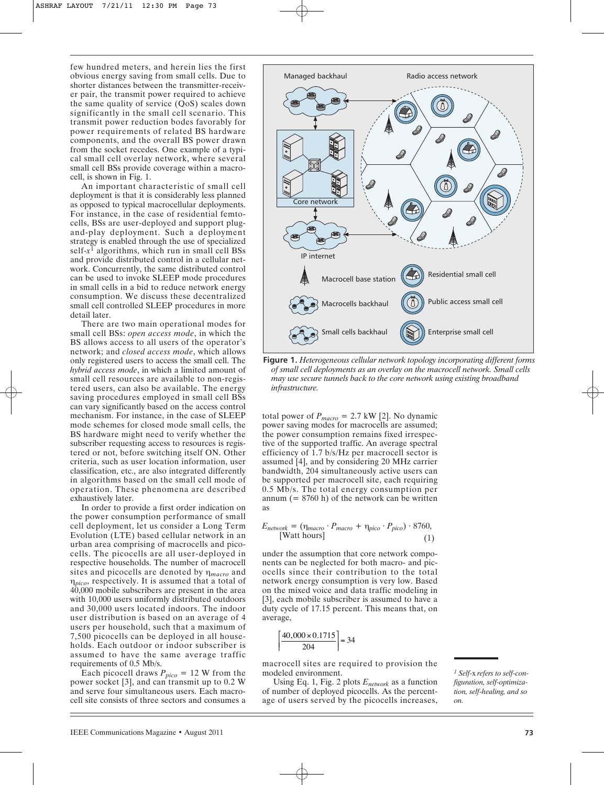few hundred meters, and herein lies the first obvious energy saving from small cells. Due to shorter distances between the transmitter-receiver pair, the transmit power required to achieve the same quality of service (QoS) scales down significantly in the small cell scenario. This transmit power reduction bodes favorably for power requirements of related BS hardware components, and the overall BS power drawn from the socket recedes. One example of a typical small cell overlay network, where several small cell BSs provide coverage within a macrocell, is shown in Fig. 1.

An important characteristic of small cell deployment is that it is considerably less planned as opposed to typical macrocellular deployments. For instance, in the case of residential femtocells, BSs are user-deployed and support plugand-play deployment. Such a deployment strategy is enabled through the use of specialized self- $x<sup>1</sup>$  algorithms, which run in small cell BSs and provide distributed control in a cellular network. Concurrently, the same distributed control can be used to invoke SLEEP mode procedures in small cells in a bid to reduce network energy consumption. We discuss these decentralized small cell controlled SLEEP procedures in more detail later.

There are two main operational modes for small cell BSs: *open access mode*, in which the BS allows access to all users of the operator's network; and *closed access mode*, which allows only registered users to access the small cell. The *hybrid access mode*, in which a limited amount of small cell resources are available to non-registered users, can also be available. The energy saving procedures employed in small cell BSs can vary significantly based on the access control mechanism. For instance, in the case of SLEEP mode schemes for closed mode small cells, the BS hardware might need to verify whether the subscriber requesting access to resources is registered or not, before switching itself ON. Other criteria, such as user location information, user classification, etc., are also integrated differently in algorithms based on the small cell mode of operation. These phenomena are described exhaustively later.

In order to provide a first order indication on the power consumption performance of small cell deployment, let us consider a Long Term Evolution (LTE) based cellular network in an urban area comprising of macrocells and picocells. The picocells are all user-deployed in respective households. The number of macrocell sites and picocells are denoted by η*macro* and η*pico*, respectively. It is assumed that a total of 40,000 mobile subscribers are present in the area with 10,000 users uniformly distributed outdoors and 30,000 users located indoors. The indoor user distribution is based on an average of 4 users per household, such that a maximum of 7,500 picocells can be deployed in all households. Each outdoor or indoor subscriber is assumed to have the same average traffic requirements of 0.5 Mb/s.

Each picocell draws  $P_{pico} = 12$  W from the power socket [3], and can transmit up to 0.2 W and serve four simultaneous users. Each macrocell site consists of three sectors and consumes a



**Figure 1.** *Heterogeneous cellular network topology incorporating different forms of small cell deployments as an overlay on the macrocell network. Small cells may use secure tunnels back to the core network using existing broadband infrastructure.*

total power of  $P_{macro} = 2.7$  kW [2]. No dynamic power saving modes for macrocells are assumed; the power consumption remains fixed irrespective of the supported traffic. An average spectral efficiency of 1.7 b/s/Hz per macrocell sector is assumed [4], and by considering 20 MHz carrier bandwidth, 204 simultaneously active users can be supported per macrocell site, each requiring 0.5 Mb/s. The total energy consumption per annum  $(= 8760 \text{ h})$  of the network can be written as

$$
E_{network} = (\eta_{macro} \cdot P_{macro} + \eta_{pico} \cdot P_{pico}) \cdot 8760,
$$
  
[Watt hours] (1)

under the assumption that core network components can be neglected for both macro- and picocells since their contribution to the total network energy consumption is very low. Based on the mixed voice and data traffic modeling in [3], each mobile subscriber is assumed to have a duty cycle of 17.15 percent. This means that, on average,

$$
\left[\frac{40,000 \times 0.1715}{204}\right] = 34
$$

macrocell sites are required to provision the modeled environment.

Using Eq. 1, Fig. 2 plots *Enetwork* as a function of number of deployed picocells. As the percentage of users served by the picocells increases,

*<sup>1</sup> Self-*x *refers to self-configuration, self-optimization, self-healing, and so on.*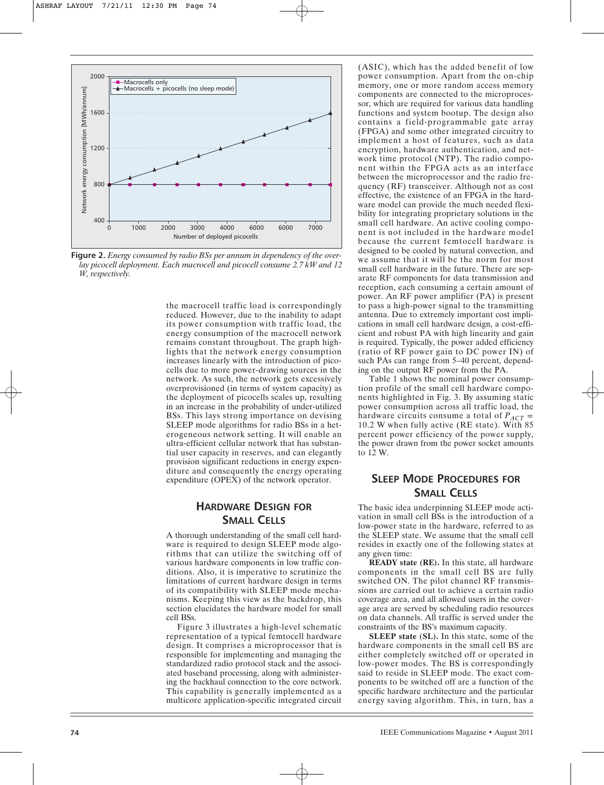

**Figure 2.** *Energy consumed by radio BSs per annum in dependency of the overlay picocell deployment. Each macrocell and picocell consume 2.7 kW and 12 W, respectively.*

the macrocell traffic load is correspondingly reduced. However, due to the inability to adapt its power consumption with traffic load, the energy consumption of the macrocell network remains constant throughout. The graph highlights that the network energy consumption increases linearly with the introduction of picocells due to more power-drawing sources in the network. As such, the network gets excessively overprovisioned (in terms of system capacity) as the deployment of picocells scales up, resulting in an increase in the probability of under-utilized BSs. This lays strong importance on devising SLEEP mode algorithms for radio BSs in a heterogeneous network setting. It will enable an ultra-efficient cellular network that has substantial user capacity in reserves, and can elegantly provision significant reductions in energy expenditure and consequently the energy operating expenditure (OPEX) of the network operator.

## **HARDWARE DESIGN FOR SMALL CELLS**

A thorough understanding of the small cell hardware is required to design SLEEP mode algorithms that can utilize the switching off of various hardware components in low traffic conditions. Also, it is imperative to scrutinize the limitations of current hardware design in terms of its compatibility with SLEEP mode mechanisms. Keeping this view as the backdrop, this section elucidates the hardware model for small cell BSs.

Figure 3 illustrates a high-level schematic representation of a typical femtocell hardware design. It comprises a microprocessor that is responsible for implementing and managing the standardized radio protocol stack and the associated baseband processing, along with administering the backhaul connection to the core network. This capability is generally implemented as a multicore application-specific integrated circuit

(ASIC), which has the added benefit of low power consumption. Apart from the on-chip memory, one or more random access memory components are connected to the microprocessor, which are required for various data handling functions and system bootup. The design also contains a field-programmable gate array (FPGA) and some other integrated circuitry to implement a host of features, such as data encryption, hardware authentication, and network time protocol (NTP). The radio component within the FPGA acts as an interface between the microprocessor and the radio frequency (RF) transceiver. Although not as cost effective, the existence of an FPGA in the hardware model can provide the much needed flexibility for integrating proprietary solutions in the small cell hardware. An active cooling component is not included in the hardware model because the current femtocell hardware is designed to be cooled by natural convection, and we assume that it will be the norm for most small cell hardware in the future. There are separate RF components for data transmission and reception, each consuming a certain amount of power. An RF power amplifier (PA) is present to pass a high-power signal to the transmitting antenna. Due to extremely important cost implications in small cell hardware design, a cost-efficient and robust PA with high linearity and gain is required. Typically, the power added efficiency (ratio of RF power gain to DC power IN) of such PAs can range from 5–40 percent, depending on the output RF power from the PA.

Table 1 shows the nominal power consumption profile of the small cell hardware components highlighted in Fig. 3. By assuming static power consumption across all traffic load, the hardware circuits consume a total of  $P_{ACT}$  = 10.2 W when fully active (RE state). With 85 percent power efficiency of the power supply, the power drawn from the power socket amounts to  $12 \text{ W}$ .

## **SLEEP MODE PROCEDURES FOR SMALL CELLS**

The basic idea underpinning SLEEP mode activation in small cell BSs is the introduction of a low-power state in the hardware, referred to as the SLEEP state. We assume that the small cell resides in exactly one of the following states at any given time:

**READY state (RE).** In this state, all hardware components in the small cell BS are fully switched ON. The pilot channel RF transmissions are carried out to achieve a certain radio coverage area, and all allowed users in the coverage area are served by scheduling radio resources on data channels. All traffic is served under the constraints of the BS's maximum capacity.

**SLEEP state (SL).** In this state, some of the hardware components in the small cell BS are either completely switched off or operated in low-power modes. The BS is correspondingly said to reside in SLEEP mode. The exact components to be switched off are a function of the specific hardware architecture and the particular energy saving algorithm. This, in turn, has a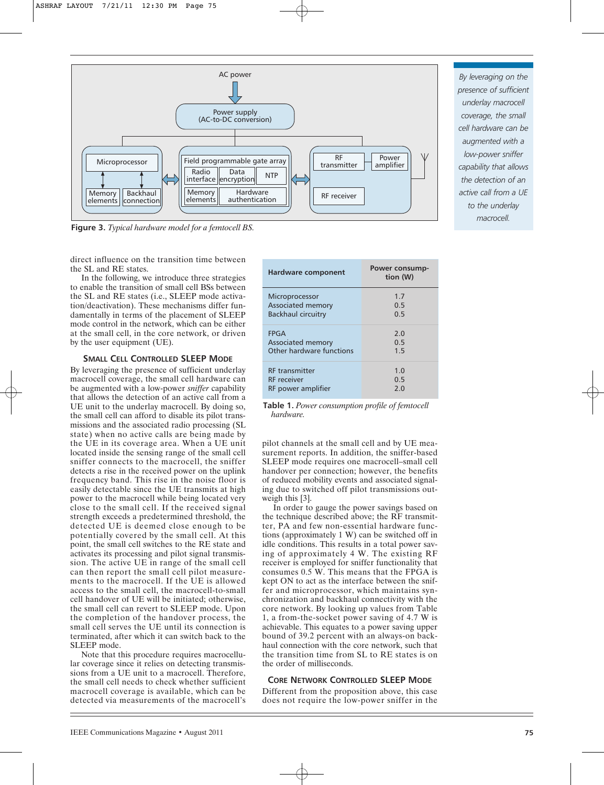

*By leveraging on the presence of sufficient underlay macrocell coverage, the small cell hardware can be augmented with a low-power sniffer capability that allows the detection of an active call from a UE to the underlay macrocell.*

**Figure 3.** *Typical hardware model for a femtocell BS.*

direct influence on the transition time between the SL and RE states.

In the following, we introduce three strategies to enable the transition of small cell BSs between the SL and RE states (i.e., SLEEP mode activation/deactivation). These mechanisms differ fundamentally in terms of the placement of SLEEP mode control in the network, which can be either at the small cell, in the core network, or driven by the user equipment (UE).

#### **SMALL CELL CONTROLLED SLEEP MODE**

By leveraging the presence of sufficient underlay macrocell coverage, the small cell hardware can be augmented with a low-power *sniffer* capability that allows the detection of an active call from a UE unit to the underlay macrocell. By doing so, the small cell can afford to disable its pilot transmissions and the associated radio processing (SL state) when no active calls are being made by the UE in its coverage area. When a UE unit located inside the sensing range of the small cell sniffer connects to the macrocell, the sniffer detects a rise in the received power on the uplink frequency band. This rise in the noise floor is easily detectable since the UE transmits at high power to the macrocell while being located very close to the small cell. If the received signal strength exceeds a predetermined threshold, the detected UE is deemed close enough to be potentially covered by the small cell. At this point, the small cell switches to the RE state and activates its processing and pilot signal transmission. The active UE in range of the small cell can then report the small cell pilot measurements to the macrocell. If the UE is allowed access to the small cell, the macrocell-to-small cell handover of UE will be initiated; otherwise, the small cell can revert to SLEEP mode. Upon the completion of the handover process, the small cell serves the UE until its connection is terminated, after which it can switch back to the SLEEP mode.

Note that this procedure requires macrocellular coverage since it relies on detecting transmissions from a UE unit to a macrocell. Therefore, the small cell needs to check whether sufficient macrocell coverage is available, which can be detected via measurements of the macrocell's

| Hardware component       | Power consump-<br>tion (W) |
|--------------------------|----------------------------|
| Microprocessor           | 1.7                        |
| Associated memory        | 0.5                        |
| Backhaul circuitry       | 0.5                        |
| <b>FPGA</b>              | 2.0                        |
| Associated memory        | 0.5                        |
| Other hardware functions | 1.5                        |
| <b>RF</b> transmitter    | 1.0                        |
| <b>RF</b> receiver       | 0.5                        |
| RF power amplifier       | 2.0                        |

**Table 1.** *Power consumption profile of femtocell hardware.*

pilot channels at the small cell and by UE measurement reports. In addition, the sniffer-based SLEEP mode requires one macrocell–small cell handover per connection; however, the benefits of reduced mobility events and associated signaling due to switched off pilot transmissions outweigh this [3].

In order to gauge the power savings based on the technique described above; the RF transmitter, PA and few non-essential hardware functions (approximately 1 W) can be switched off in idle conditions. This results in a total power saving of approximately 4 W. The existing RF receiver is employed for sniffer functionality that consumes 0.5 W. This means that the FPGA is kept ON to act as the interface between the sniffer and microprocessor, which maintains synchronization and backhaul connectivity with the core network. By looking up values from Table 1, a from-the-socket power saving of 4.7 W is achievable. This equates to a power saving upper bound of 39.2 percent with an always-on backhaul connection with the core network, such that the transition time from SL to RE states is on the order of milliseconds.

#### **CORE NETWORK CONTROLLED SLEEP MODE**

Different from the proposition above, this case does not require the low-power sniffer in the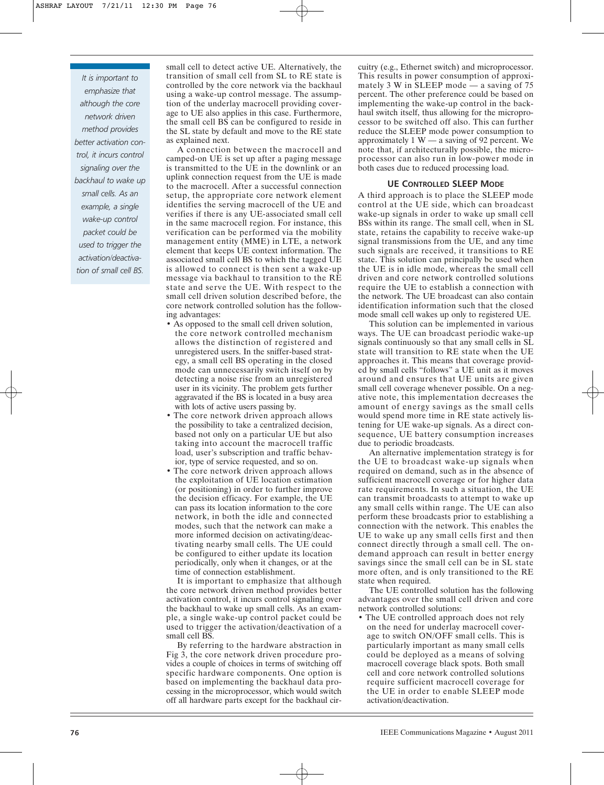*It is important to emphasize that although the core network driven method provides better activation control, it incurs control signaling over the backhaul to wake up small cells. As an example, a single wake-up control packet could be used to trigger the activation/deactivation of small cell BS.*

small cell to detect active UE. Alternatively, the transition of small cell from SL to RE state is controlled by the core network via the backhaul using a wake-up control message. The assumption of the underlay macrocell providing coverage to UE also applies in this case. Furthermore, the small cell BS can be configured to reside in the SL state by default and move to the RE state as explained next.

A connection between the macrocell and camped-on UE is set up after a paging message is transmitted to the UE in the downlink or an uplink connection request from the UE is made to the macrocell. After a successful connection setup, the appropriate core network element identifies the serving macrocell of the UE and verifies if there is any UE-associated small cell in the same macrocell region. For instance, this verification can be performed via the mobility management entity (MME) in LTE, a network element that keeps UE context information. The associated small cell BS to which the tagged UE is allowed to connect is then sent a wake-up message via backhaul to transition to the RE state and serve the UE. With respect to the small cell driven solution described before, the core network controlled solution has the following advantages:

- As opposed to the small cell driven solution, the core network controlled mechanism allows the distinction of registered and unregistered users. In the sniffer-based strategy, a small cell BS operating in the closed mode can unnecessarily switch itself on by detecting a noise rise from an unregistered user in its vicinity. The problem gets further aggravated if the BS is located in a busy area with lots of active users passing by.
- The core network driven approach allows the possibility to take a centralized decision, based not only on a particular UE but also taking into account the macrocell traffic load, user's subscription and traffic behavior, type of service requested, and so on.
- The core network driven approach allows the exploitation of UE location estimation (or positioning) in order to further improve the decision efficacy. For example, the UE can pass its location information to the core network, in both the idle and connected modes, such that the network can make a more informed decision on activating/deactivating nearby small cells. The UE could be configured to either update its location periodically, only when it changes, or at the time of connection establishment.

It is important to emphasize that although the core network driven method provides better activation control, it incurs control signaling over the backhaul to wake up small cells. As an example, a single wake-up control packet could be used to trigger the activation/deactivation of a small cell BS.

By referring to the hardware abstraction in Fig 3, the core network driven procedure provides a couple of choices in terms of switching off specific hardware components. One option is based on implementing the backhaul data processing in the microprocessor, which would switch off all hardware parts except for the backhaul circuitry (e.g., Ethernet switch) and microprocessor. This results in power consumption of approximately 3 W in SLEEP mode — a saving of 75 percent. The other preference could be based on implementing the wake-up control in the backhaul switch itself, thus allowing for the microprocessor to be switched off also. This can further reduce the SLEEP mode power consumption to approximately  $1 W - a$  saving of 92 percent. We note that, if architecturally possible, the microprocessor can also run in low-power mode in both cases due to reduced processing load.

#### **UE CONTROLLED SLEEP MODE**

A third approach is to place the SLEEP mode control at the UE side, which can broadcast wake-up signals in order to wake up small cell BSs within its range. The small cell, when in SL state, retains the capability to receive wake-up signal transmissions from the UE, and any time such signals are received, it transitions to RE state. This solution can principally be used when the UE is in idle mode, whereas the small cell driven and core network controlled solutions require the UE to establish a connection with the network. The UE broadcast can also contain identification information such that the closed mode small cell wakes up only to registered UE.

This solution can be implemented in various ways. The UE can broadcast periodic wake-up signals continuously so that any small cells in SL state will transition to RE state when the UE approaches it. This means that coverage provided by small cells "follows" a UE unit as it moves around and ensures that UE units are given small cell coverage whenever possible. On a negative note, this implementation decreases the amount of energy savings as the small cells would spend more time in RE state actively listening for UE wake-up signals. As a direct consequence, UE battery consumption increases due to periodic broadcasts.

An alternative implementation strategy is for the UE to broadcast wake-up signals when required on demand, such as in the absence of sufficient macrocell coverage or for higher data rate requirements. In such a situation, the UE can transmit broadcasts to attempt to wake up any small cells within range. The UE can also perform these broadcasts prior to establishing a connection with the network. This enables the UE to wake up any small cells first and then connect directly through a small cell. The ondemand approach can result in better energy savings since the small cell can be in SL state more often, and is only transitioned to the RE state when required.

The UE controlled solution has the following advantages over the small cell driven and core network controlled solutions:

• The UE controlled approach does not rely on the need for underlay macrocell coverage to switch ON/OFF small cells. This is particularly important as many small cells could be deployed as a means of solving macrocell coverage black spots. Both small cell and core network controlled solutions require sufficient macrocell coverage for the UE in order to enable SLEEP mode activation/deactivation.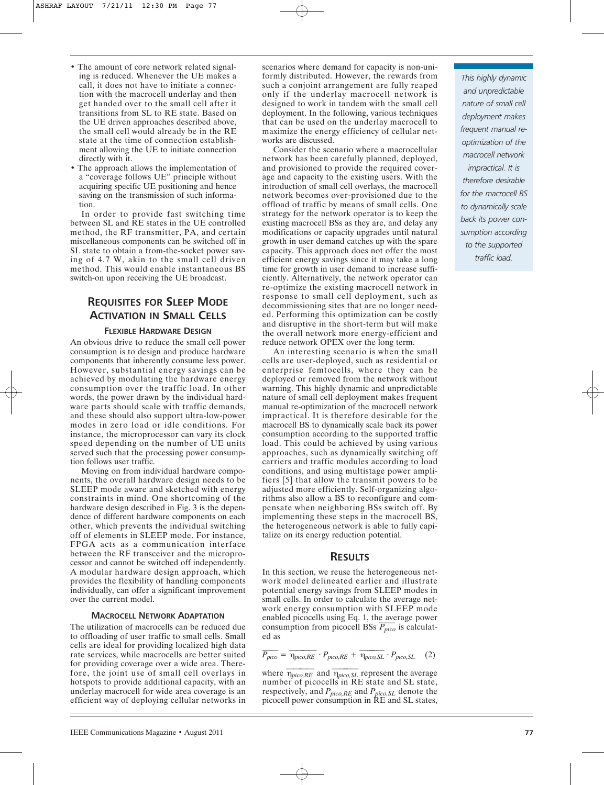- The amount of core network related signaling is reduced. Whenever the UE makes a call, it does not have to initiate a connection with the macrocell underlay and then get handed over to the small cell after it transitions from SL to RE state. Based on the UE driven approaches described above, the small cell would already be in the RE state at the time of connection establishment allowing the UE to initiate connection directly with it.
- The approach allows the implementation of a "coverage follows UE" principle without acquiring specific UE positioning and hence saving on the transmission of such information.

In order to provide fast switching time between SL and RE states in the UE controlled method, the RF transmitter, PA, and certain miscellaneous components can be switched off in SL state to obtain a from-the-socket power saving of 4.7 W, akin to the small cell driven method. This would enable instantaneous BS switch-on upon receiving the UE broadcast.

## **REQUISITES FOR SLEEP MODE ACTIVATION IN SMALL CELLS**

#### **FLEXIBLE HARDWARE DESIGN**

An obvious drive to reduce the small cell power consumption is to design and produce hardware components that inherently consume less power. However, substantial energy savings can be achieved by modulating the hardware energy consumption over the traffic load. In other words, the power drawn by the individual hardware parts should scale with traffic demands, and these should also support ultra-low-power modes in zero load or idle conditions. For instance, the microprocessor can vary its clock speed depending on the number of UE units served such that the processing power consumption follows user traffic.

Moving on from individual hardware components, the overall hardware design needs to be SLEEP mode aware and sketched with energy constraints in mind. One shortcoming of the hardware design described in Fig. 3 is the dependence of different hardware components on each other, which prevents the individual switching off of elements in SLEEP mode. For instance, FPGA acts as a communication interface between the RF transceiver and the microprocessor and cannot be switched off independently. A modular hardware design approach, which provides the flexibility of handling components individually, can offer a significant improvement over the current model.

#### **MACROCELL NETWORK ADAPTATION**

The utilization of macrocells can be reduced due to offloading of user traffic to small cells. Small cells are ideal for providing localized high data rate services, while macrocells are better suited for providing coverage over a wide area. Therefore, the joint use of small cell overlays in hotspots to provide additional capacity, with an underlay macrocell for wide area coverage is an efficient way of deploying cellular networks in

scenarios where demand for capacity is non-uniformly distributed. However, the rewards from such a conjoint arrangement are fully reaped only if the underlay macrocell network is designed to work in tandem with the small cell deployment. In the following, various techniques that can be used on the underlay macrocell to maximize the energy efficiency of cellular networks are discussed.

Consider the scenario where a macrocellular network has been carefully planned, deployed, and provisioned to provide the required coverage and capacity to the existing users. With the introduction of small cell overlays, the macrocell network becomes over-provisioned due to the offload of traffic by means of small cells. One strategy for the network operator is to keep the existing macrocell BSs as they are, and delay any modifications or capacity upgrades until natural growth in user demand catches up with the spare capacity. This approach does not offer the most efficient energy savings since it may take a long time for growth in user demand to increase sufficiently. Alternatively, the network operator can re-optimize the existing macrocell network in response to small cell deployment, such as decommissioning sites that are no longer needed. Performing this optimization can be costly and disruptive in the short-term but will make the overall network more energy-efficient and reduce network OPEX over the long term.

An interesting scenario is when the small cells are user-deployed, such as residential or enterprise femtocells, where they can be deployed or removed from the network without warning. This highly dynamic and unpredictable nature of small cell deployment makes frequent manual re-optimization of the macrocell network impractical. It is therefore desirable for the macrocell BS to dynamically scale back its power consumption according to the supported traffic load. This could be achieved by using various approaches, such as dynamically switching off carriers and traffic modules according to load conditions, and using multistage power amplifiers [5] that allow the transmit powers to be adjusted more efficiently. Self-organizing algorithms also allow a BS to reconfigure and compensate when neighboring BSs switch off. By implementing these steps in the macrocell BS, the heterogeneous network is able to fully capitalize on its energy reduction potential.

#### **RESULTS**

In this section, we reuse the heterogeneous network model delineated earlier and illustrate potential energy savings from SLEEP modes in small cells. In order to calculate the average network energy consumption with SLEEP mode enabled picocells using Eq. 1, the average power consumption from picocell BSs  $\overline{P_{pico}}$  is calculated as

$$
\overline{P_{pico}} = \overline{\eta_{pico,RE}} \cdot P_{pico,RE} + \overline{\eta_{pico,SL}} \cdot P_{pico,SL} \quad (2)
$$

where  $\overline{\eta_{pico,RE}}$  and  $\overline{\eta_{pico,SL}}$  represent the average number of picocells in RE state and SL state, respectively, and *Ppico,RE* and *Ppico,SL* denote the picocell power consumption in RE and SL states,

*This highly dynamic and unpredictable nature of small cell deployment makes frequent manual reoptimization of the macrocell network impractical. It is therefore desirable for the macrocell BS to dynamically scale back its power consumption according to the supported traffic load.*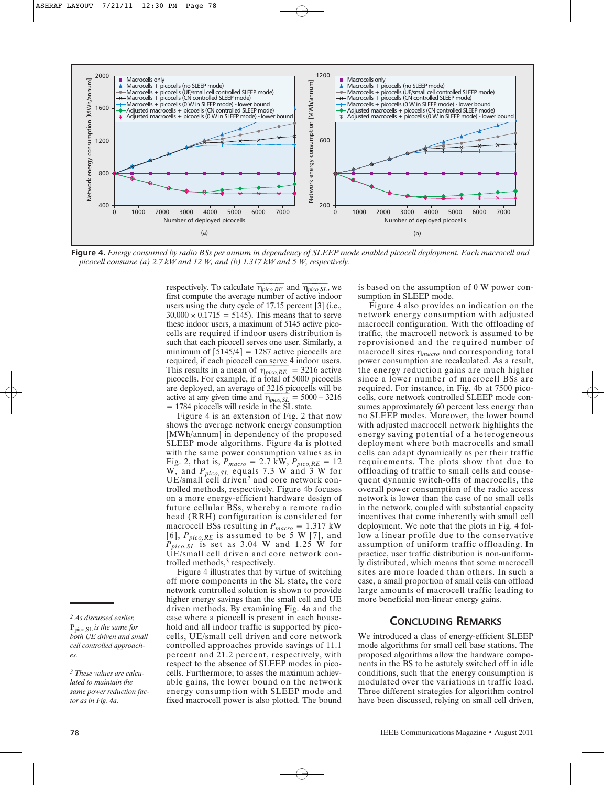

**Figure 4.** *Energy consumed by radio BSs per annum in dependency of SLEEP mode enabled picocell deployment. Each macrocell and picocell consume (a) 2.7 kW and 12 W, and (b) 1.317 kW and 5 W, respectively.*

respectively. To calculate  $\overline{\eta_{pico,RE}}$  and  $\overline{\eta_{pico,SL}}$ , we first compute the average number of active indoor users using the duty cycle of 17.15 percent [3] (i.e.,  $30,000 \times 0.1715 = 5145$ . This means that to serve these indoor users, a maximum of 5145 active picocells are required if indoor users distribution is such that each picocell serves one user. Similarly, a minimum of  $[5145/4] = 1287$  active picocells are required, if each picocell can serve 4 indoor users. This results in a mean of  $\frac{\text{m}}{\eta_{p} \text{i} \text{c}^2}$  = 3216 active picocells. For example, if a total of 5000 picocells are deployed, an average of 3216 picocells will be active at any given time and  $\frac{\eta_{pico,SL}}{\eta_{pico,SL}} = 5000 - 3216$ = 1784 picocells will reside in the SL state.

Figure 4 is an extension of Fig. 2 that now shows the average network energy consumption [MWh/annum] in dependency of the proposed SLEEP mode algorithms. Figure 4a is plotted with the same power consumption values as in Fig. 2, that is,  $P_{macro} = 2.7 \text{ kW}, P_{pico,RE} = 12$ W, and *Ppico,SL* equals 7.3 W and 3 W for UE/small cell driven<sup>2</sup> and core network controlled methods, respectively. Figure 4b focuses on a more energy-efficient hardware design of future cellular BSs, whereby a remote radio head (RRH) configuration is considered for macrocell BSs resulting in *Pmacro* = 1.317 kW [6],  $P_{pico,RE}$  is assumed to be 5 W [7], and  $P_{pico,SL}$  is set as 3.04 W and 1.25 W for UE/small cell driven and core network controlled methods, $3$  respectively.

Figure 4 illustrates that by virtue of switching off more components in the SL state, the core network controlled solution is shown to provide higher energy savings than the small cell and UE driven methods. By examining Fig. 4a and the case where a picocell is present in each household and all indoor traffic is supported by picocells, UE/small cell driven and core network controlled approaches provide savings of 11.1 percent and 21.2 percent, respectively, with respect to the absence of SLEEP modes in picocells. Furthermore; to asses the maximum achievable gains, the lower bound on the network energy consumption with SLEEP mode and fixed macrocell power is also plotted. The bound

is based on the assumption of 0 W power consumption in SLEEP mode.

Figure 4 also provides an indication on the network energy consumption with adjusted macrocell configuration. With the offloading of traffic, the macrocell network is assumed to be reprovisioned and the required number of macrocell sites η*macro* and corresponding total power consumption are recalculated. As a result, the energy reduction gains are much higher since a lower number of macrocell BSs are required. For instance, in Fig. 4b at 7500 picocells, core network controlled SLEEP mode consumes approximately 60 percent less energy than no SLEEP modes. Moreover, the lower bound with adjusted macrocell network highlights the energy saving potential of a heterogeneous deployment where both macrocells and small cells can adapt dynamically as per their traffic requirements. The plots show that due to offloading of traffic to small cells and consequent dynamic switch-offs of macrocells, the overall power consumption of the radio access network is lower than the case of no small cells in the network, coupled with substantial capacity incentives that come inherently with small cell deployment. We note that the plots in Fig. 4 follow a linear profile due to the conservative assumption of uniform traffic offloading. In practice, user traffic distribution is non-uniformly distributed, which means that some macrocell sites are more loaded than others. In such a case, a small proportion of small cells can offload large amounts of macrocell traffic leading to more beneficial non-linear energy gains.

#### **CONCLUDING REMARKS**

We introduced a class of energy-efficient SLEEP mode algorithms for small cell base stations. The proposed algorithms allow the hardware components in the BS to be astutely switched off in idle conditions, such that the energy consumption is modulated over the variations in traffic load. Three different strategies for algorithm control have been discussed, relying on small cell driven,

*<sup>2</sup> As discussed earlier,* Ppico,SL *is the same for both UE driven and small cell controlled approaches.*

*<sup>3</sup> These values are calculated to maintain the same power reduction factor as in Fig. 4a.*